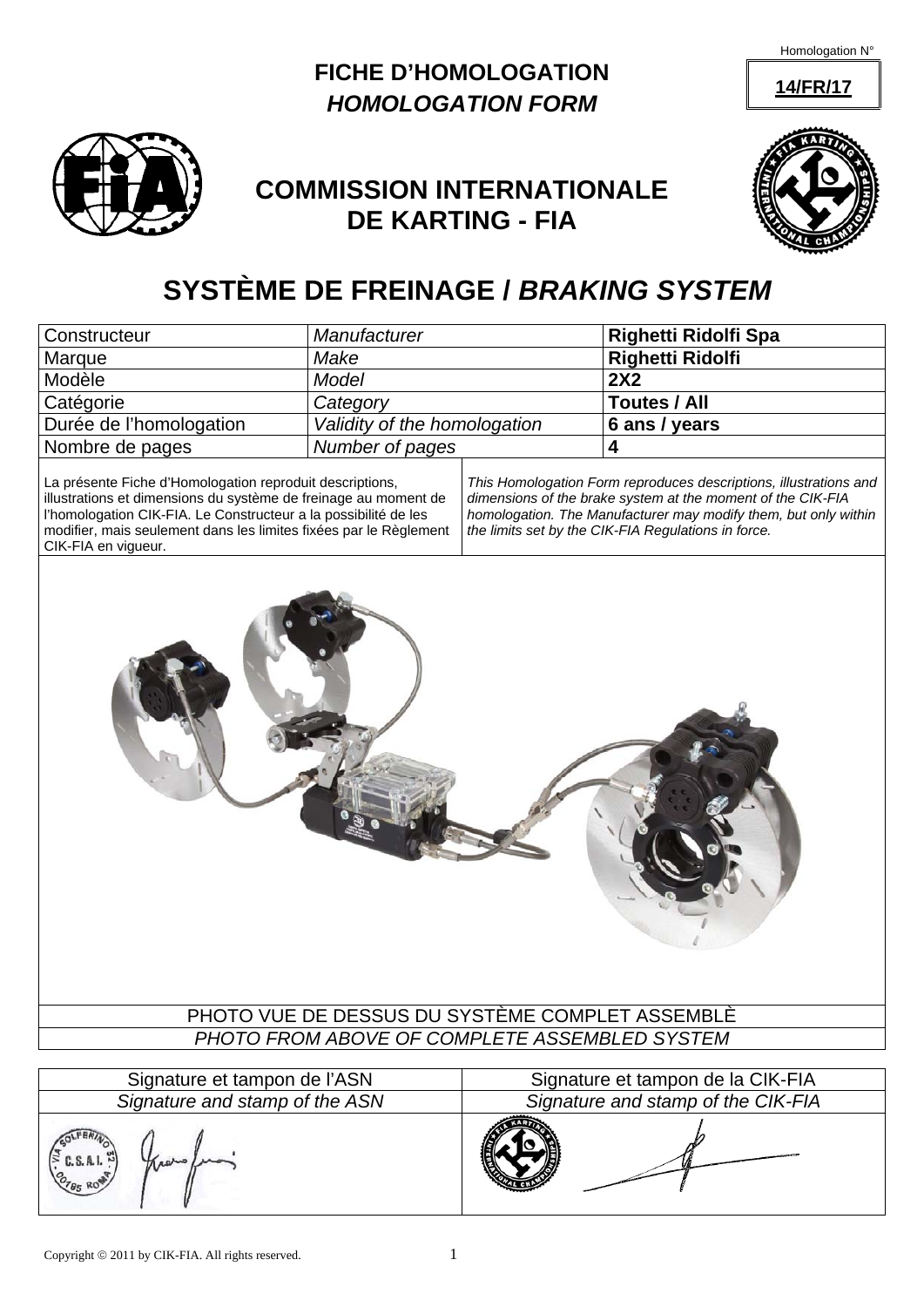Homologation N°

**14/FR/17**





## **COMMISSION INTERNATIONALE DE KARTING - FIA**



# **SYSTÈME DE FREINAGE /** *BRAKING SYSTEM*

| Constructeur                                                                                                                                                                                                                                                        | Manufacturer                 |                                                                                                                                                                                                                                                            | Righetti Ridolfi Spa              |  |
|---------------------------------------------------------------------------------------------------------------------------------------------------------------------------------------------------------------------------------------------------------------------|------------------------------|------------------------------------------------------------------------------------------------------------------------------------------------------------------------------------------------------------------------------------------------------------|-----------------------------------|--|
| Marque                                                                                                                                                                                                                                                              | Make                         |                                                                                                                                                                                                                                                            | <b>Righetti Ridolfi</b>           |  |
| Modèle                                                                                                                                                                                                                                                              | <b>Model</b>                 |                                                                                                                                                                                                                                                            | 2X2                               |  |
| Catégorie                                                                                                                                                                                                                                                           | Category                     |                                                                                                                                                                                                                                                            | Toutes / All                      |  |
| Durée de l'homologation                                                                                                                                                                                                                                             | Validity of the homologation |                                                                                                                                                                                                                                                            | 6 ans / years                     |  |
| Nombre de pages                                                                                                                                                                                                                                                     | Number of pages              |                                                                                                                                                                                                                                                            | 4                                 |  |
| La présente Fiche d'Homologation reproduit descriptions,<br>illustrations et dimensions du système de freinage au moment de<br>l'homologation CIK-FIA. Le Constructeur a la possibilité de les<br>modifier, mais seulement dans les limites fixées par le Règlement |                              | This Homologation Form reproduces descriptions, illustrations and<br>dimensions of the brake system at the moment of the CIK-FIA<br>homologation. The Manufacturer may modify them, but only within<br>the limits set by the CIK-FIA Regulations in force. |                                   |  |
| CIK-FIA en vigueur.                                                                                                                                                                                                                                                 |                              |                                                                                                                                                                                                                                                            |                                   |  |
| PHOTO VUE DE DESSUS DU SYSTÈME COMPLET ASSEMBLÈ<br>PHOTO FROM ABOVE OF COMPLETE ASSEMBLED SYSTEM                                                                                                                                                                    |                              |                                                                                                                                                                                                                                                            |                                   |  |
|                                                                                                                                                                                                                                                                     |                              |                                                                                                                                                                                                                                                            |                                   |  |
| Signature et tampon de l'ASN                                                                                                                                                                                                                                        |                              |                                                                                                                                                                                                                                                            | Signature et tampon de la CIK-FIA |  |

*Signature and stamp of the ASN Signature and stamp of the CIK-FIA*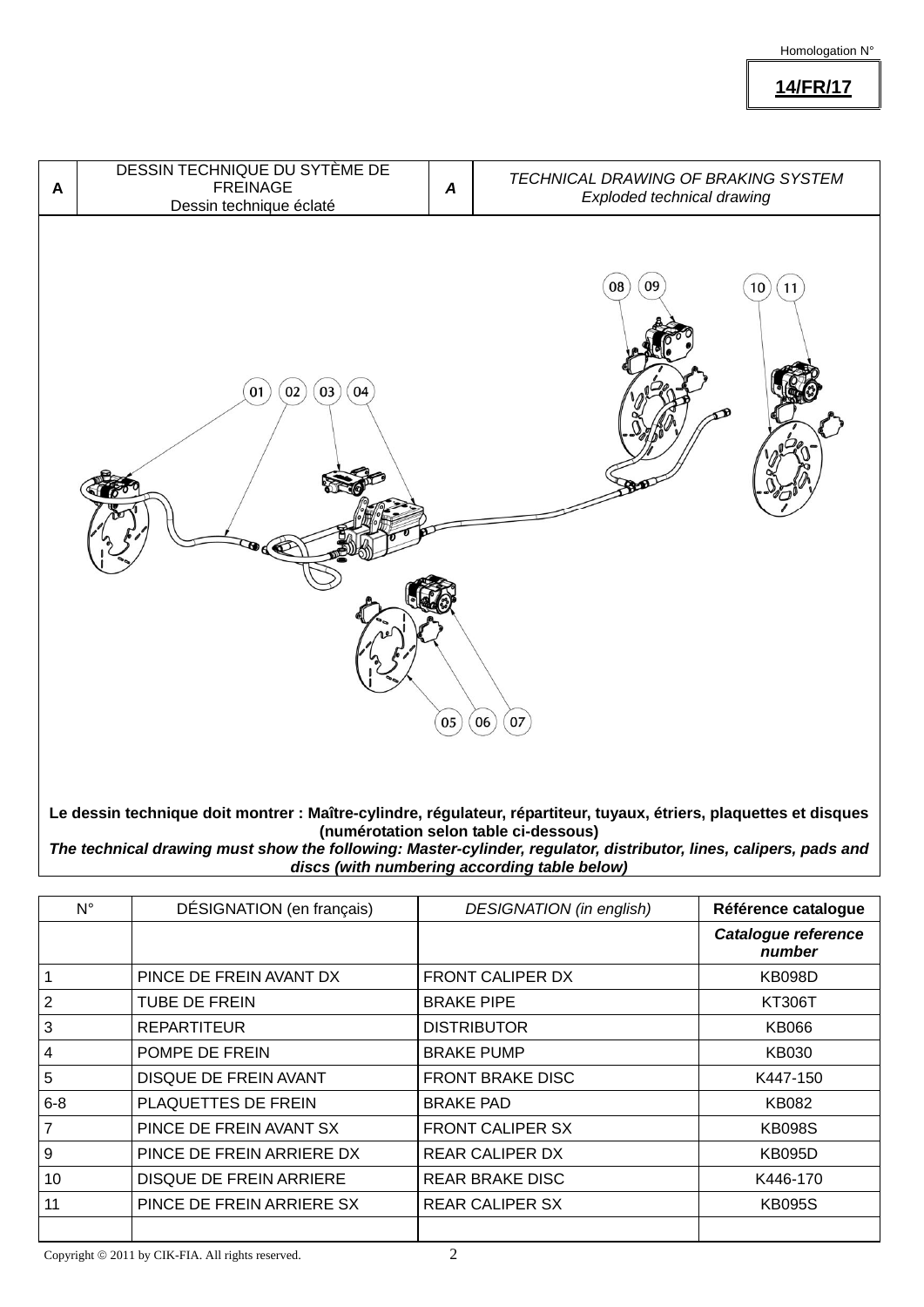#### Homologation N°

**14/FR/17**



**Le dessin technique doit montrer : Maître-cylindre, régulateur, répartiteur, tuyaux, étriers, plaquettes et disques (numérotation selon table ci-dessous)** 

*The technical drawing must show the following: Master-cylinder, regulator, distributor, lines, calipers, pads and discs (with numbering according table below)*

| N°             | DÉSIGNATION (en français)      | <b>DESIGNATION</b> (in english) | Référence catalogue           |
|----------------|--------------------------------|---------------------------------|-------------------------------|
|                |                                |                                 | Catalogue reference<br>number |
|                | PINCE DE FREIN AVANT DX        | FRONT CALIPER DX                | <b>KB098D</b>                 |
| 2              | <b>TUBE DE FREIN</b>           | <b>BRAKE PIPE</b>               | <b>KT306T</b>                 |
| 3              | <b>REPARTITEUR</b>             | <b>DISTRIBUTOR</b>              | <b>KB066</b>                  |
| $\overline{4}$ | POMPE DE FREIN                 | <b>BRAKE PUMP</b>               | KB030                         |
| 5              | <b>DISQUE DE FREIN AVANT</b>   | <b>FRONT BRAKE DISC</b>         | K447-150                      |
| $6 - 8$        | PLAQUETTES DE FREIN            | <b>BRAKE PAD</b>                | <b>KB082</b>                  |
| $\overline{7}$ | PINCE DE FREIN AVANT SX        | <b>FRONT CALIPER SX</b>         | <b>KB098S</b>                 |
| 9              | PINCE DE FREIN ARRIERE DX      | <b>REAR CALIPER DX</b>          | <b>KB095D</b>                 |
| 10             | <b>DISQUE DE FREIN ARRIERE</b> | <b>REAR BRAKE DISC</b>          | K446-170                      |
| 11             | PINCE DE FREIN ARRIERE SX      | <b>REAR CALIPER SX</b>          | <b>KB095S</b>                 |
|                |                                |                                 |                               |

Copyright  $\odot$  2011 by CIK-FIA. All rights reserved.  $2$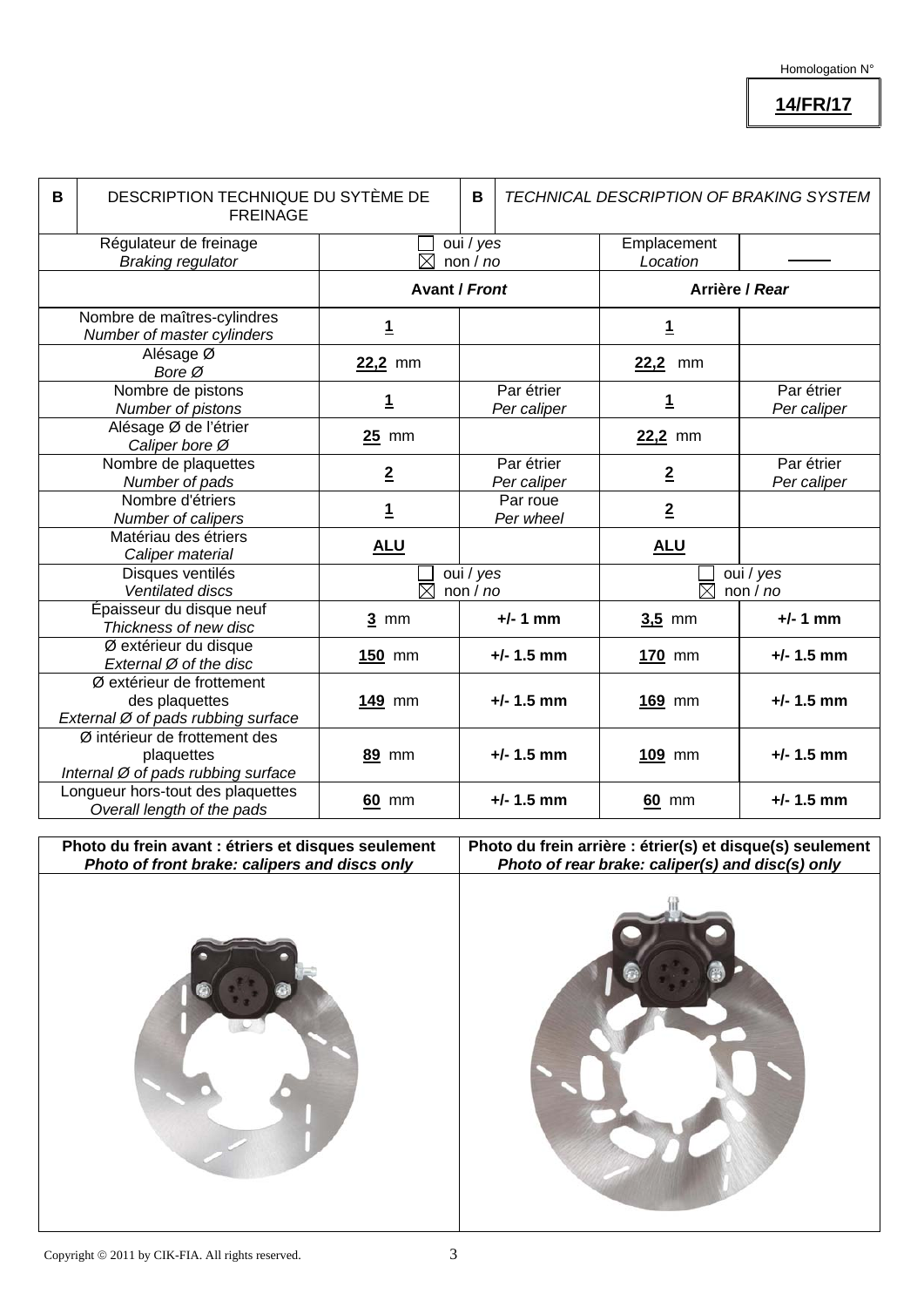### **14/FR/17**

| B | DESCRIPTION TECHNIQUE DU SYTÈME DE<br><b>FREINAGE</b>                             |                                        | B | TECHNICAL DESCRIPTION OF BRAKING SYSTEM |                         |                           |
|---|-----------------------------------------------------------------------------------|----------------------------------------|---|-----------------------------------------|-------------------------|---------------------------|
|   | Régulateur de freinage<br><b>Braking regulator</b>                                | oui / yes<br>$\boxtimes$<br>non/no     |   |                                         | Emplacement<br>Location |                           |
|   |                                                                                   | <b>Avant / Front</b>                   |   | Arrière / Rear                          |                         |                           |
|   | Nombre de maîtres-cylindres<br>Number of master cylinders                         | <u>1</u>                               |   |                                         | <u>1</u>                |                           |
|   | Alésage Ø<br>Bore Ø                                                               | 22,2 mm                                |   |                                         | 22,2<br>mm              |                           |
|   | Nombre de pistons<br>Number of pistons                                            | 1                                      |   | Par étrier<br>Per caliper               | 1                       | Par étrier<br>Per caliper |
|   | Alésage Ø de l'étrier<br>Caliper bore Ø                                           | $25$ mm                                |   |                                         | 22,2 mm                 |                           |
|   | Nombre de plaquettes<br>Number of pads                                            | $\overline{2}$                         |   | Par étrier<br>Per caliper               | $\overline{2}$          | Par étrier<br>Per caliper |
|   | Nombre d'étriers<br>Number of calipers                                            | $\mathbf{1}$                           |   | Par roue<br>Per wheel                   | $\overline{2}$          |                           |
|   | Matériau des étriers<br>Caliper material                                          | <b>ALU</b>                             |   |                                         | <b>ALU</b>              |                           |
|   | Disques ventilés<br>Ventilated discs                                              | oui / yes<br>$\boxtimes$<br>non $/$ no |   | oui / yes<br>$\boxtimes$<br>non/no      |                         |                           |
|   | Épaisseur du disque neuf<br>Thickness of new disc                                 | $3 \text{ mm}$                         |   | $+/- 1$ mm                              | $3,5$ mm                | $+/- 1$ mm                |
|   | Ø extérieur du disque<br>External Ø of the disc                                   | $150$ mm                               |   | $+/- 1.5$ mm                            | 170 mm                  | $+/- 1.5$ mm              |
|   | Ø extérieur de frottement<br>des plaquettes<br>External Ø of pads rubbing surface | 149 mm                                 |   | $+/- 1.5$ mm                            | 169 mm                  | $+/- 1.5$ mm              |
|   | Ø intérieur de frottement des<br>plaquettes<br>Internal Ø of pads rubbing surface | 89 mm                                  |   | $+/- 1.5$ mm                            | $109$ mm                | $+/- 1.5$ mm              |
|   | Longueur hors-tout des plaquettes<br>Overall length of the pads                   | 60 mm                                  |   | $+/- 1.5$ mm                            | 60 mm                   | $+/- 1.5$ mm              |

**Photo du frein avant : étriers et disques seulement**  *Photo of front brake: calipers and discs only* 

### **Photo du frein arrière : étrier(s) et disque(s) seulement**  *Photo of rear brake: caliper(s) and disc(s) only*